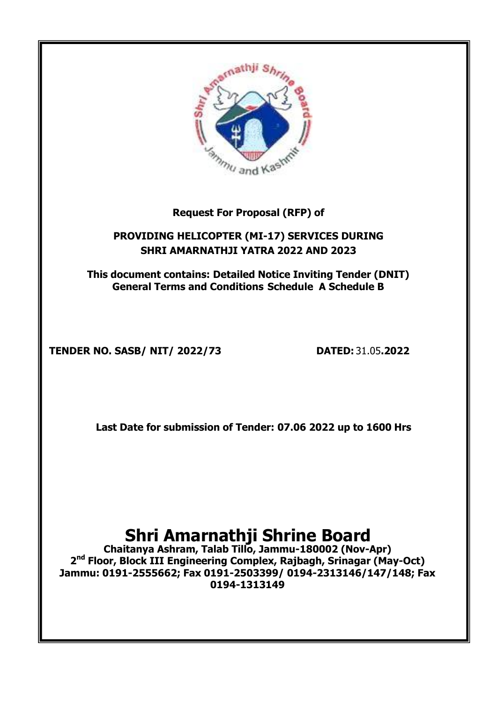

# **Request For Proposal (RFP) of**

# **PROVIDING HELICOPTER (MI-17) SERVICES DURING SHRI AMARNATHJI YATRA 2022 AND 2023**

**This document contains: Detailed Notice Inviting Tender (DNIT) General Terms and Conditions Schedule A Schedule B**

**TENDER NO. SASB/ NIT/ 2022/73 DATED:** 31.05**.2022**

**Last Date for submission of Tender: 07.06 2022 up to 1600 Hrs**

# **Shri Amarnathji Shrine Board**

**Chaitanya Ashram, Talab Tillo, Jammu-180002 (Nov-Apr) 2 nd Floor, Block III Engineering Complex, Rajbagh, Srinagar (May-Oct) Jammu: 0191-2555662; Fax 0191-2503399/ 0194-2313146/147/148; Fax 0194-1313149**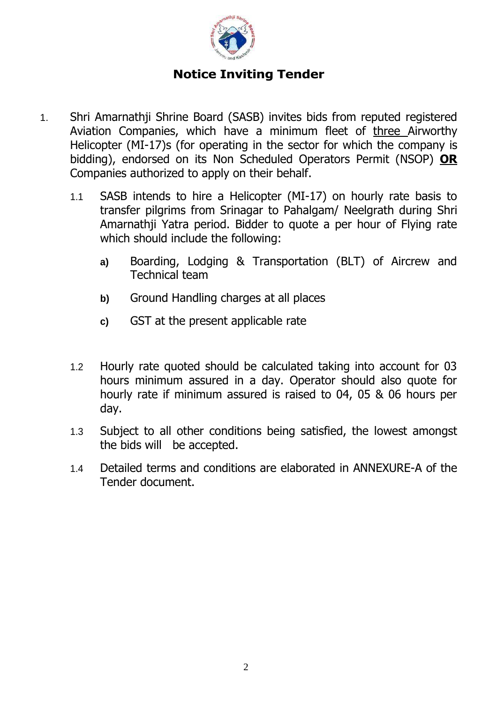

# **Notice Inviting Tender**

- 1. Shri Amarnathji Shrine Board (SASB) invites bids from reputed registered Aviation Companies, which have a minimum fleet of three Airworthy Helicopter (MI-17)s (for operating in the sector for which the company is bidding), endorsed on its Non Scheduled Operators Permit (NSOP) **OR** Companies authorized to apply on their behalf.
	- 1.1 SASB intends to hire a Helicopter (MI-17) on hourly rate basis to transfer pilgrims from Srinagar to Pahalgam/ Neelgrath during Shri Amarnathji Yatra period. Bidder to quote a per hour of Flying rate which should include the following:
		- **a)** Boarding, Lodging & Transportation (BLT) of Aircrew and Technical team
		- **b)** Ground Handling charges at all places
		- **c)** GST at the present applicable rate
	- 1.2 Hourly rate quoted should be calculated taking into account for 03 hours minimum assured in a day. Operator should also quote for hourly rate if minimum assured is raised to 04, 05 & 06 hours per day.
	- 1.3 Subject to all other conditions being satisfied, the lowest amongst the bids will be accepted.
	- 1.4 Detailed terms and conditions are elaborated in ANNEXURE-A of the Tender document.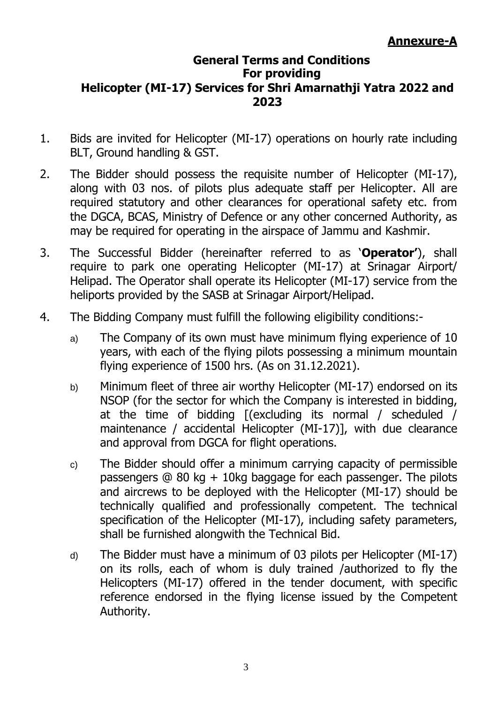# **General Terms and Conditions For providing Helicopter (MI-17) Services for Shri Amarnathji Yatra 2022 and 2023**

- 1. Bids are invited for Helicopter (MI-17) operations on hourly rate including BLT, Ground handling & GST.
- 2. The Bidder should possess the requisite number of Helicopter (MI-17), along with 03 nos. of pilots plus adequate staff per Helicopter. All are required statutory and other clearances for operational safety etc. from the DGCA, BCAS, Ministry of Defence or any other concerned Authority, as may be required for operating in the airspace of Jammu and Kashmir.
- 3. The Successful Bidder (hereinafter referred to as '**Operator'**), shall require to park one operating Helicopter (MI-17) at Srinagar Airport/ Helipad. The Operator shall operate its Helicopter (MI-17) service from the heliports provided by the SASB at Srinagar Airport/Helipad.
- 4. The Bidding Company must fulfill the following eligibility conditions:
	- a) The Company of its own must have minimum flying experience of 10 years, with each of the flying pilots possessing a minimum mountain flying experience of 1500 hrs. (As on 31.12.2021).
	- b) Minimum fleet of three air worthy Helicopter (MI-17) endorsed on its NSOP (for the sector for which the Company is interested in bidding, at the time of bidding [(excluding its normal / scheduled / maintenance / accidental Helicopter (MI-17)], with due clearance and approval from DGCA for flight operations.
	- c) The Bidder should offer a minimum carrying capacity of permissible passengers  $@ 80 kq + 10kq$  baggage for each passenger. The pilots and aircrews to be deployed with the Helicopter (MI-17) should be technically qualified and professionally competent. The technical specification of the Helicopter (MI-17), including safety parameters, shall be furnished alongwith the Technical Bid.
	- d) The Bidder must have a minimum of 03 pilots per Helicopter (MI-17) on its rolls, each of whom is duly trained /authorized to fly the Helicopters (MI-17) offered in the tender document, with specific reference endorsed in the flying license issued by the Competent Authority.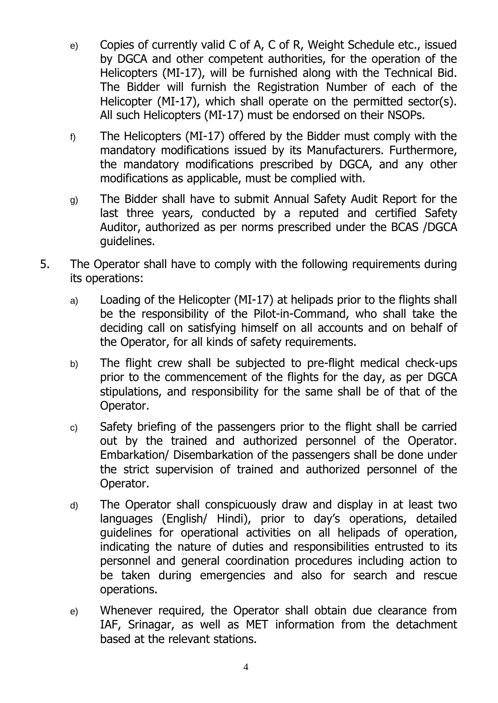- e) Copies of currently valid C of A, C of R, Weight Schedule etc., issued by DGCA and other competent authorities, for the operation of the Helicopters (MI-17), will be furnished along with the Technical Bid. The Bidder will furnish the Registration Number of each of the Helicopter (MI-17), which shall operate on the permitted sector(s). All such Helicopters (MI-17) must be endorsed on their NSOPs.
- f) The Helicopters (MI-17) offered by the Bidder must comply with the mandatory modifications issued by its Manufacturers. Furthermore, the mandatory modifications prescribed by DGCA, and any other modifications as applicable, must be complied with.
- g) The Bidder shall have to submit Annual Safety Audit Report for the last three years, conducted by a reputed and certified Safety Auditor, authorized as per norms prescribed under the BCAS /DGCA guidelines.
- 5. The Operator shall have to comply with the following requirements during its operations:
	- a) Loading of the Helicopter (MI-17) at helipads prior to the flights shall be the responsibility of the Pilot-in-Command, who shall take the deciding call on satisfying himself on all accounts and on behalf of the Operator, for all kinds of safety requirements.
	- b) The flight crew shall be subjected to pre-flight medical check-ups prior to the commencement of the flights for the day, as per DGCA stipulations, and responsibility for the same shall be of that of the Operator.
	- c) Safety briefing of the passengers prior to the flight shall be carried out by the trained and authorized personnel of the Operator. Embarkation/ Disembarkation of the passengers shall be done under the strict supervision of trained and authorized personnel of the Operator.
	- d) The Operator shall conspicuously draw and display in at least two languages (English/ Hindi), prior to day's operations, detailed guidelines for operational activities on all helipads of operation, indicating the nature of duties and responsibilities entrusted to its personnel and general coordination procedures including action to be taken during emergencies and also for search and rescue operations.
	- e) Whenever required, the Operator shall obtain due clearance from IAF, Srinagar, as well as MET information from the detachment based at the relevant stations.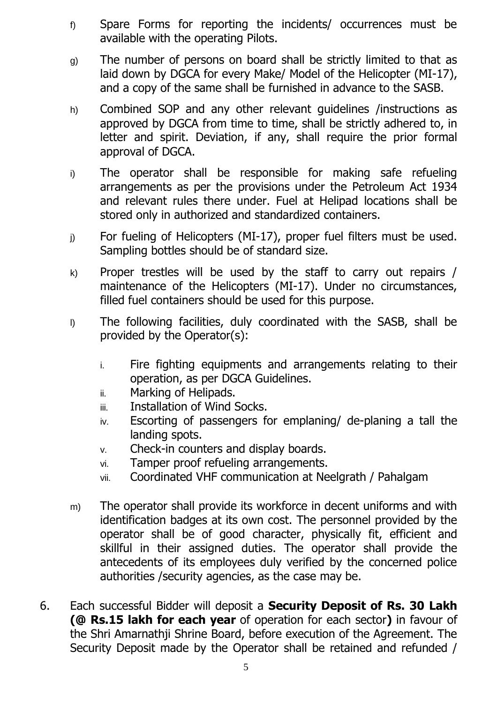- f) Spare Forms for reporting the incidents/ occurrences must be available with the operating Pilots.
- g) The number of persons on board shall be strictly limited to that as laid down by DGCA for every Make/ Model of the Helicopter (MI-17), and a copy of the same shall be furnished in advance to the SASB.
- h) Combined SOP and any other relevant guidelines /instructions as approved by DGCA from time to time, shall be strictly adhered to, in letter and spirit. Deviation, if any, shall require the prior formal approval of DGCA.
- i) The operator shall be responsible for making safe refueling arrangements as per the provisions under the Petroleum Act 1934 and relevant rules there under. Fuel at Helipad locations shall be stored only in authorized and standardized containers.
- j) For fueling of Helicopters (MI-17), proper fuel filters must be used. Sampling bottles should be of standard size.
- $k$ ) Proper trestles will be used by the staff to carry out repairs / maintenance of the Helicopters (MI-17). Under no circumstances, filled fuel containers should be used for this purpose.
- l) The following facilities, duly coordinated with the SASB, shall be provided by the Operator(s):
	- i. Fire fighting equipments and arrangements relating to their operation, as per DGCA Guidelines.
	- ii. Marking of Helipads.
	- iii. Installation of Wind Socks.
	- iv. Escorting of passengers for emplaning/ de-planing a tall the landing spots.
	- v. Check-in counters and display boards.
	- vi. Tamper proof refueling arrangements.
	- vii. Coordinated VHF communication at Neelgrath / Pahalgam
- m) The operator shall provide its workforce in decent uniforms and with identification badges at its own cost. The personnel provided by the operator shall be of good character, physically fit, efficient and skillful in their assigned duties. The operator shall provide the antecedents of its employees duly verified by the concerned police authorities /security agencies, as the case may be.
- 6. Each successful Bidder will deposit a **Security Deposit of Rs. 30 Lakh (@ Rs.15 lakh for each year** of operation for each sector**)** in favour of the Shri Amarnathji Shrine Board, before execution of the Agreement. The Security Deposit made by the Operator shall be retained and refunded /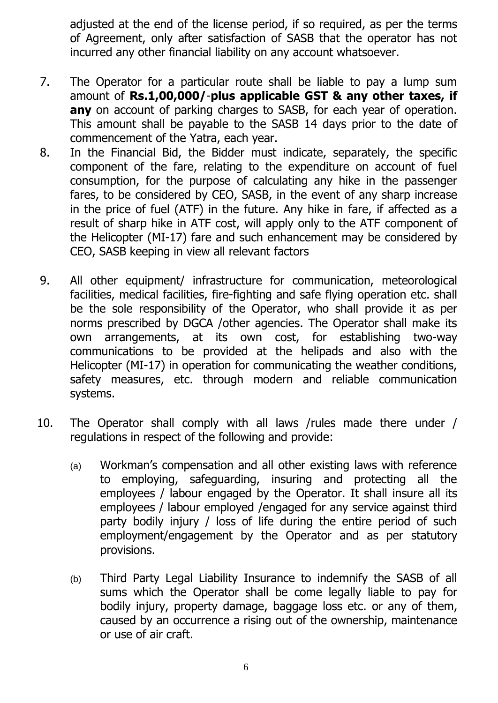adjusted at the end of the license period, if so required, as per the terms of Agreement, only after satisfaction of SASB that the operator has not incurred any other financial liability on any account whatsoever.

- 7. The Operator for a particular route shall be liable to pay a lump sum amount of **Rs.1,00,000/**-**plus applicable GST & any other taxes, if any** on account of parking charges to SASB, for each year of operation. This amount shall be payable to the SASB 14 days prior to the date of commencement of the Yatra, each year.
- 8. In the Financial Bid, the Bidder must indicate, separately, the specific component of the fare, relating to the expenditure on account of fuel consumption, for the purpose of calculating any hike in the passenger fares, to be considered by CEO, SASB, in the event of any sharp increase in the price of fuel (ATF) in the future. Any hike in fare, if affected as a result of sharp hike in ATF cost, will apply only to the ATF component of the Helicopter (MI-17) fare and such enhancement may be considered by CEO, SASB keeping in view all relevant factors
- 9. All other equipment/ infrastructure for communication, meteorological facilities, medical facilities, fire-fighting and safe flying operation etc. shall be the sole responsibility of the Operator, who shall provide it as per norms prescribed by DGCA /other agencies. The Operator shall make its own arrangements, at its own cost, for establishing two-way communications to be provided at the helipads and also with the Helicopter (MI-17) in operation for communicating the weather conditions, safety measures, etc. through modern and reliable communication systems.
- 10. The Operator shall comply with all laws /rules made there under / regulations in respect of the following and provide:
	- (a) Workman's compensation and all other existing laws with reference to employing, safeguarding, insuring and protecting all the employees / labour engaged by the Operator. It shall insure all its employees / labour employed /engaged for any service against third party bodily injury / loss of life during the entire period of such employment/engagement by the Operator and as per statutory provisions.
	- (b) Third Party Legal Liability Insurance to indemnify the SASB of all sums which the Operator shall be come legally liable to pay for bodily injury, property damage, baggage loss etc. or any of them, caused by an occurrence a rising out of the ownership, maintenance or use of air craft.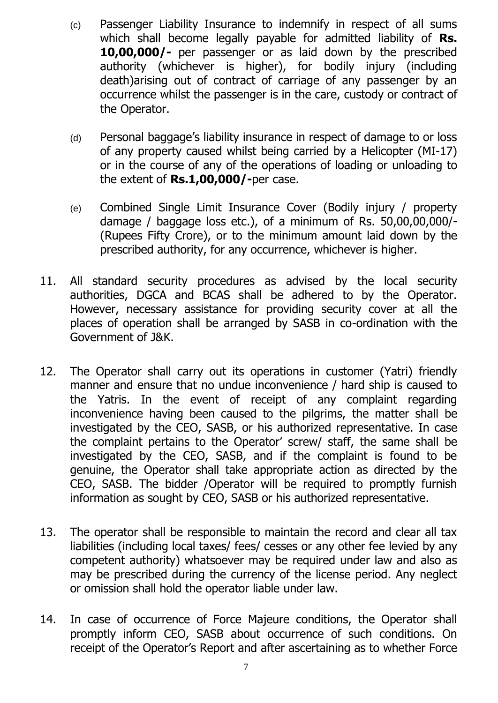- (c) Passenger Liability Insurance to indemnify in respect of all sums which shall become legally payable for admitted liability of **Rs. 10,00,000/-** per passenger or as laid down by the prescribed authority (whichever is higher), for bodily injury (including death)arising out of contract of carriage of any passenger by an occurrence whilst the passenger is in the care, custody or contract of the Operator.
- (d) Personal baggage's liability insurance in respect of damage to or loss of any property caused whilst being carried by a Helicopter (MI-17) or in the course of any of the operations of loading or unloading to the extent of **Rs.1,00,000/-**per case.
- (e) Combined Single Limit Insurance Cover (Bodily injury / property damage / baggage loss etc.), of a minimum of Rs. 50,00,00,000/- (Rupees Fifty Crore), or to the minimum amount laid down by the prescribed authority, for any occurrence, whichever is higher.
- 11. All standard security procedures as advised by the local security authorities, DGCA and BCAS shall be adhered to by the Operator. However, necessary assistance for providing security cover at all the places of operation shall be arranged by SASB in co-ordination with the Government of J&K.
- 12. The Operator shall carry out its operations in customer (Yatri) friendly manner and ensure that no undue inconvenience / hard ship is caused to the Yatris. In the event of receipt of any complaint regarding inconvenience having been caused to the pilgrims, the matter shall be investigated by the CEO, SASB, or his authorized representative. In case the complaint pertains to the Operator' screw/ staff, the same shall be investigated by the CEO, SASB, and if the complaint is found to be genuine, the Operator shall take appropriate action as directed by the CEO, SASB. The bidder /Operator will be required to promptly furnish information as sought by CEO, SASB or his authorized representative.
- 13. The operator shall be responsible to maintain the record and clear all tax liabilities (including local taxes/ fees/ cesses or any other fee levied by any competent authority) whatsoever may be required under law and also as may be prescribed during the currency of the license period. Any neglect or omission shall hold the operator liable under law.
- 14. In case of occurrence of Force Majeure conditions, the Operator shall promptly inform CEO, SASB about occurrence of such conditions. On receipt of the Operator's Report and after ascertaining as to whether Force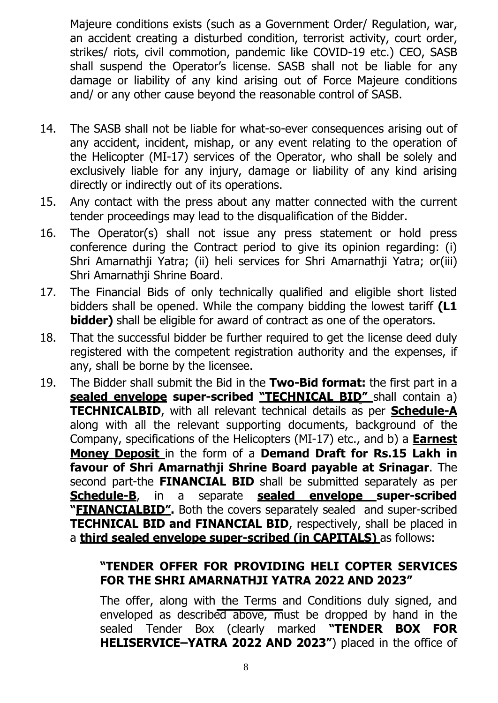Majeure conditions exists (such as a Government Order/ Regulation, war, an accident creating a disturbed condition, terrorist activity, court order, strikes/ riots, civil commotion, pandemic like COVID-19 etc.) CEO, SASB shall suspend the Operator's license. SASB shall not be liable for any damage or liability of any kind arising out of Force Majeure conditions and/ or any other cause beyond the reasonable control of SASB.

- 14. The SASB shall not be liable for what-so-ever consequences arising out of any accident, incident, mishap, or any event relating to the operation of the Helicopter (MI-17) services of the Operator, who shall be solely and exclusively liable for any injury, damage or liability of any kind arising directly or indirectly out of its operations.
- 15. Any contact with the press about any matter connected with the current tender proceedings may lead to the disqualification of the Bidder.
- 16. The Operator(s) shall not issue any press statement or hold press conference during the Contract period to give its opinion regarding: (i) Shri Amarnathji Yatra; (ii) heli services for Shri Amarnathji Yatra; or(iii) Shri Amarnathji Shrine Board.
- 17. The Financial Bids of only technically qualified and eligible short listed bidders shall be opened. While the company bidding the lowest tariff **(L1 bidder)** shall be eligible for award of contract as one of the operators.
- 18. That the successful bidder be further required to get the license deed duly registered with the competent registration authority and the expenses, if any, shall be borne by the licensee.
- 19. The Bidder shall submit the Bid in the **Two-Bid format:** the first part in a **sealed envelope super-scribed "TECHNICAL BID"** shall contain a) **TECHNICALBID**, with all relevant technical details as per **Schedule-A** along with all the relevant supporting documents, background of the Company, specifications of the Helicopters (MI-17) etc., and b) a **Earnest Money Deposit** in the form of a **Demand Draft for Rs.15 Lakh in favour of Shri Amarnathji Shrine Board payable at Srinagar**. The second part-the **FINANCIAL BID** shall be submitted separately as per **Schedule-B**, in a separate **sealed envelope super-scribed "FINANCIALBID".** Both the covers separately sealed and super-scribed **TECHNICAL BID and FINANCIAL BID**, respectively, shall be placed in a **third sealed envelope super-scribed (in CAPITALS)** as follows:

# **"TENDER OFFER FOR PROVIDING HELI COPTER SERVICES FOR THE SHRI AMARNATHJI YATRA 2022 AND 2023"**

The offer, along with the Terms and Conditions duly signed, and enveloped as described above, must be dropped by hand in the sealed Tender Box (clearly marked **"TENDER BOX FOR HELISERVICE–YATRA 2022 AND 2023"**) placed in the office of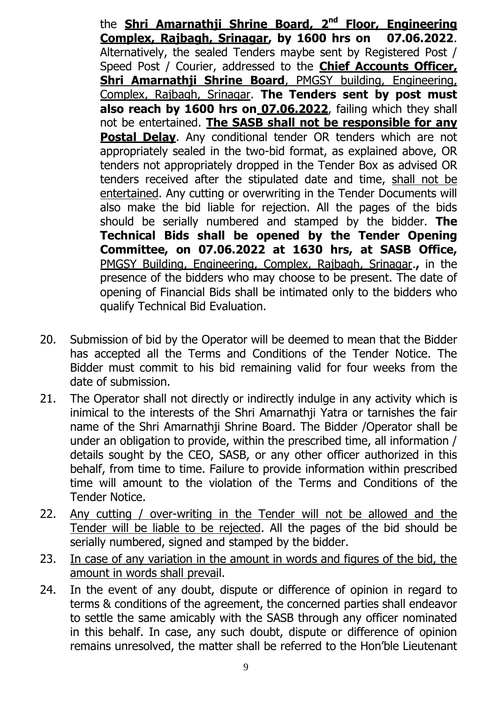the **Shri Amarnathji Shrine Board, 2 nd Floor, Engineering Complex, Rajbagh, Srinagar, by 1600 hrs on 07.06.2022**. Alternatively, the sealed Tenders maybe sent by Registered Post / Speed Post / Courier, addressed to the **Chief Accounts Officer, Shri Amarnathji Shrine Board**, PMGSY building, Engineering, Complex, Rajbagh, Srinagar. **The Tenders sent by post must also reach by 1600 hrs on 07.06.2022**, failing which they shall not be entertained. **The SASB shall not be responsible for any Postal Delay**. Any conditional tender OR tenders which are not appropriately sealed in the two-bid format, as explained above, OR tenders not appropriately dropped in the Tender Box as advised OR tenders received after the stipulated date and time, shall not be entertained. Any cutting or overwriting in the Tender Documents will also make the bid liable for rejection. All the pages of the bids should be serially numbered and stamped by the bidder. **The Technical Bids shall be opened by the Tender Opening Committee, on 07.06.2022 at 1630 hrs, at SASB Office,**  PMGSY Building, Engineering, Complex, Rajbagh, Srinagar.**,** in the presence of the bidders who may choose to be present. The date of opening of Financial Bids shall be intimated only to the bidders who qualify Technical Bid Evaluation.

- 20. Submission of bid by the Operator will be deemed to mean that the Bidder has accepted all the Terms and Conditions of the Tender Notice. The Bidder must commit to his bid remaining valid for four weeks from the date of submission.
- 21. The Operator shall not directly or indirectly indulge in any activity which is inimical to the interests of the Shri Amarnathji Yatra or tarnishes the fair name of the Shri Amarnathji Shrine Board. The Bidder /Operator shall be under an obligation to provide, within the prescribed time, all information / details sought by the CEO, SASB, or any other officer authorized in this behalf, from time to time. Failure to provide information within prescribed time will amount to the violation of the Terms and Conditions of the Tender Notice.
- 22. Any cutting / over-writing in the Tender will not be allowed and the Tender will be liable to be rejected. All the pages of the bid should be serially numbered, signed and stamped by the bidder.
- 23. In case of any variation in the amount in words and figures of the bid, the amount in words shall prevail.
- 24. In the event of any doubt, dispute or difference of opinion in regard to terms & conditions of the agreement, the concerned parties shall endeavor to settle the same amicably with the SASB through any officer nominated in this behalf. In case, any such doubt, dispute or difference of opinion remains unresolved, the matter shall be referred to the Hon'ble Lieutenant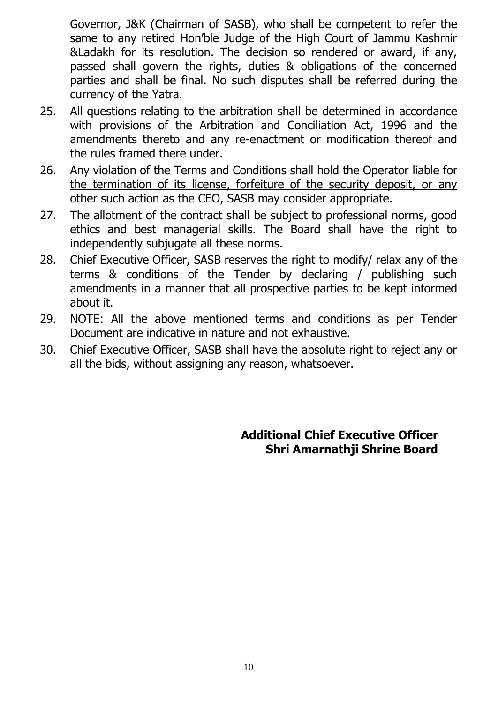Governor, J&K (Chairman of SASB), who shall be competent to refer the same to any retired Hon'ble Judge of the High Court of Jammu Kashmir &Ladakh for its resolution. The decision so rendered or award, if any, passed shall govern the rights, duties & obligations of the concerned parties and shall be final. No such disputes shall be referred during the currency of the Yatra.

- 25. All questions relating to the arbitration shall be determined in accordance with provisions of the Arbitration and Conciliation Act, 1996 and the amendments thereto and any re-enactment or modification thereof and the rules framed there under.
- 26. Any violation of the Terms and Conditions shall hold the Operator liable for the termination of its license, forfeiture of the security deposit, or any other such action as the CEO, SASB may consider appropriate.
- 27. The allotment of the contract shall be subject to professional norms, good ethics and best managerial skills. The Board shall have the right to independently subjugate all these norms.
- 28. Chief Executive Officer, SASB reserves the right to modify/ relax any of the terms & conditions of the Tender by declaring / publishing such amendments in a manner that all prospective parties to be kept informed about it.
- 29. NOTE: All the above mentioned terms and conditions as per Tender Document are indicative in nature and not exhaustive.
- 30. Chief Executive Officer, SASB shall have the absolute right to reject any or all the bids, without assigning any reason, whatsoever.

**Additional Chief Executive Officer Shri Amarnathji Shrine Board**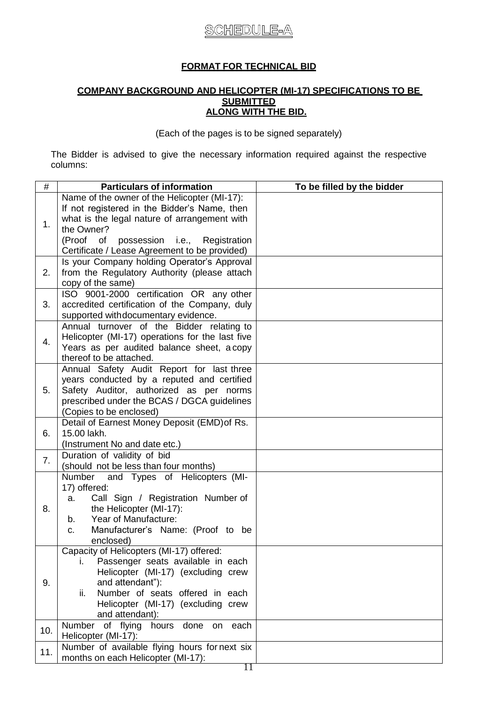# **SCHEDULE-A**

#### **FORMAT FOR TECHNICAL BID**

#### **COMPANY BACKGROUND AND HELICOPTER (MI-17) SPECIFICATIONS TO BE SUBMITTED ALONG WITH THE BID.**

(Each of the pages is to be signed separately)

The Bidder is advised to give the necessary information required against the respective columns:

| $\#$ | <b>Particulars of information</b>                                       | To be filled by the bidder |
|------|-------------------------------------------------------------------------|----------------------------|
|      | Name of the owner of the Helicopter (MI-17):                            |                            |
| 1.   | If not registered in the Bidder's Name, then                            |                            |
|      | what is the legal nature of arrangement with                            |                            |
|      | the Owner?                                                              |                            |
|      | (Proof<br>possession i.e., Registration<br>of                           |                            |
|      | Certificate / Lease Agreement to be provided)                           |                            |
|      | Is your Company holding Operator's Approval                             |                            |
| 2.   | from the Regulatory Authority (please attach                            |                            |
|      | copy of the same)                                                       |                            |
|      | ISO 9001-2000 certification OR any other                                |                            |
| 3.   | accredited certification of the Company, duly                           |                            |
|      | supported withdocumentary evidence.                                     |                            |
|      | Annual turnover of the Bidder relating to                               |                            |
| 4.   | Helicopter (MI-17) operations for the last five                         |                            |
|      | Years as per audited balance sheet, a copy                              |                            |
|      | thereof to be attached.                                                 |                            |
|      | Annual Safety Audit Report for last three                               |                            |
|      | years conducted by a reputed and certified                              |                            |
| 5.   | Safety Auditor, authorized as per norms                                 |                            |
|      | prescribed under the BCAS / DGCA guidelines                             |                            |
|      | (Copies to be enclosed)<br>Detail of Earnest Money Deposit (EMD) of Rs. |                            |
| 6.   | 15.00 lakh.                                                             |                            |
|      | (Instrument No and date etc.)                                           |                            |
|      | Duration of validity of bid                                             |                            |
| 7.   | (should not be less than four months)                                   |                            |
|      | Number and Types of Helicopters (MI-                                    |                            |
|      | 17) offered:                                                            |                            |
|      | Call Sign / Registration Number of<br>a.                                |                            |
| 8.   | the Helicopter (MI-17):                                                 |                            |
|      | Year of Manufacture:<br>b.                                              |                            |
|      | Manufacturer's Name: (Proof to be<br>C.                                 |                            |
|      | enclosed)                                                               |                            |
|      | Capacity of Helicopters (MI-17) offered:                                |                            |
| 9.   | Passenger seats available in each<br>İ.                                 |                            |
|      | Helicopter (MI-17) (excluding crew                                      |                            |
|      | and attendant"):                                                        |                            |
|      | Number of seats offered in each<br>ii.                                  |                            |
|      | Helicopter (MI-17) (excluding crew                                      |                            |
|      | and attendant):                                                         |                            |
| 10.  | Number of flying hours<br>done on each                                  |                            |
|      | Helicopter (MI-17):                                                     |                            |
| 11.  | Number of available flying hours for next six                           |                            |
|      | months on each Helicopter (MI-17):                                      |                            |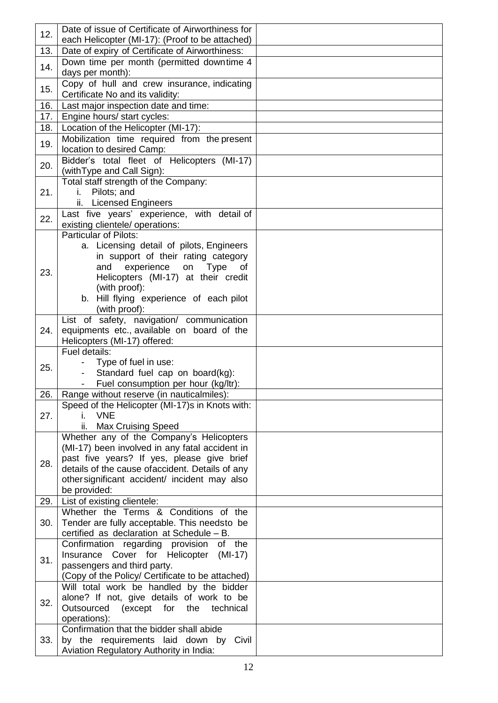| 12. | Date of issue of Certificate of Airworthiness for                                              |  |
|-----|------------------------------------------------------------------------------------------------|--|
|     | each Helicopter (MI-17): (Proof to be attached)                                                |  |
| 13. | Date of expiry of Certificate of Airworthiness:                                                |  |
| 14. | Down time per month (permitted downtime 4                                                      |  |
|     | days per month):                                                                               |  |
| 15. | Copy of hull and crew insurance, indicating<br>Certificate No and its validity:                |  |
| 16. | Last major inspection date and time:                                                           |  |
| 17. | Engine hours/ start cycles:                                                                    |  |
| 18. | Location of the Helicopter (MI-17):                                                            |  |
|     | Mobilization time required from the present                                                    |  |
| 19. | location to desired Camp:                                                                      |  |
|     | Bidder's total fleet of Helicopters (MI-17)                                                    |  |
| 20. | (with Type and Call Sign):                                                                     |  |
|     | Total staff strength of the Company:                                                           |  |
| 21. | Pilots; and<br>i.                                                                              |  |
|     | <b>Licensed Engineers</b><br>ii.                                                               |  |
| 22. | Last five years' experience, with detail of                                                    |  |
|     | existing clientele/ operations:<br><b>Particular of Pilots:</b>                                |  |
|     | a. Licensing detail of pilots, Engineers                                                       |  |
|     | in support of their rating category                                                            |  |
|     | experience on<br>and<br><b>Type</b><br>of                                                      |  |
| 23. | Helicopters (MI-17) at their credit                                                            |  |
|     | (with proof):                                                                                  |  |
|     | b. Hill flying experience of each pilot                                                        |  |
|     | (with proof):                                                                                  |  |
|     | List of safety, navigation/ communication                                                      |  |
| 24. | equipments etc., available on board of the                                                     |  |
|     | Helicopters (MI-17) offered:<br>Fuel details:                                                  |  |
|     | Type of fuel in use:                                                                           |  |
| 25. | Standard fuel cap on board(kg):                                                                |  |
|     | Fuel consumption per hour (kg/ltr):                                                            |  |
| 26. | Range without reserve (in nauticalmiles):                                                      |  |
|     | Speed of the Helicopter (MI-17)s in Knots with:                                                |  |
| 27. | i. VNE                                                                                         |  |
|     | ii.<br><b>Max Cruising Speed</b>                                                               |  |
|     | Whether any of the Company's Helicopters                                                       |  |
|     | (MI-17) been involved in any fatal accident in                                                 |  |
| 28. | past five years? If yes, please give brief<br>details of the cause of accident. Details of any |  |
|     | other significant accident/ incident may also                                                  |  |
|     | be provided:                                                                                   |  |
| 29. | List of existing clientele:                                                                    |  |
|     | Whether the Terms & Conditions of the                                                          |  |
| 30. | Tender are fully acceptable. This needsto be                                                   |  |
|     | certified as declaration at Schedule - B.                                                      |  |
| 31. | Confirmation regarding provision<br>of the                                                     |  |
|     | Insurance Cover for Helicopter (MI-17)                                                         |  |
|     | passengers and third party.                                                                    |  |
|     | (Copy of the Policy/ Certificate to be attached)                                               |  |
| 32. | Will total work be handled by the bidder<br>alone? If not, give details of work to be          |  |
|     | Outsourced (except for the<br>technical                                                        |  |
|     | operations):                                                                                   |  |
|     | Confirmation that the bidder shall abide                                                       |  |
| 33. | by the requirements laid down by Civil                                                         |  |
|     |                                                                                                |  |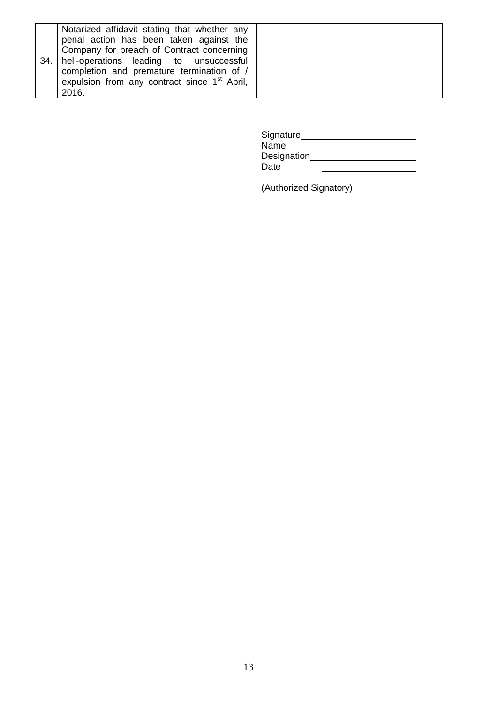|     | Notarized affidavit stating that whether any<br>penal action has been taken against the                                           |  |
|-----|-----------------------------------------------------------------------------------------------------------------------------------|--|
| 34. | Company for breach of Contract concerning<br>heli-operations leading to unsuccessful<br>completion and premature termination of / |  |
|     | expulsion from any contract since 1 <sup>st</sup> April,<br>2016.                                                                 |  |

| Signature   |  |
|-------------|--|
| Name        |  |
| Designation |  |
| Date        |  |

(Authorized Signatory)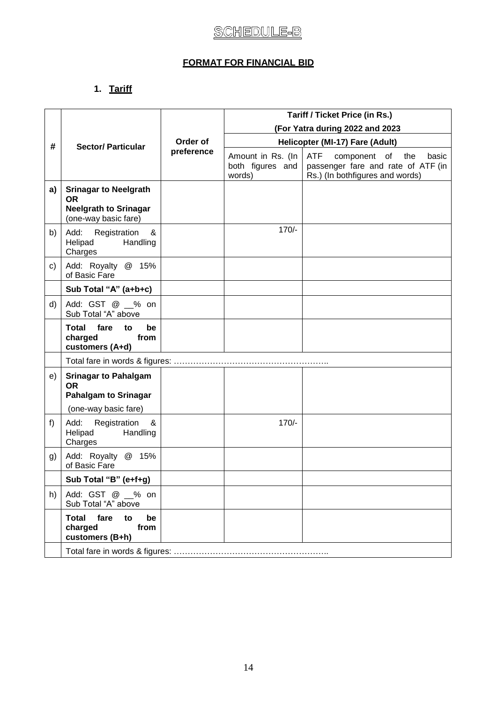### **FORMAT FOR FINANCIAL BID**

# **1. Tariff**

|    |                                                                                                   |            | <b>Tariff / Ticket Price (in Rs.)</b><br>(For Yatra during 2022 and 2023 |                                                                                                              |
|----|---------------------------------------------------------------------------------------------------|------------|--------------------------------------------------------------------------|--------------------------------------------------------------------------------------------------------------|
|    |                                                                                                   |            |                                                                          |                                                                                                              |
| #  | <b>Sector/Particular</b>                                                                          | Order of   | Helicopter (MI-17) Fare (Adult)                                          |                                                                                                              |
|    |                                                                                                   | preference | Amount in Rs. (In<br>both figures and<br>words)                          | ATF<br>component of<br>the<br>basic<br>passenger fare and rate of ATF (in<br>Rs.) (In bothfigures and words) |
| a) | <b>Srinagar to Neelgrath</b><br><b>OR</b><br><b>Neelgrath to Srinagar</b><br>(one-way basic fare) |            |                                                                          |                                                                                                              |
| b) | Add:<br>Registration<br>&<br>Handling<br>Helipad<br>Charges                                       |            | $170/-$                                                                  |                                                                                                              |
| c) | Add: Royalty @ 15%<br>of Basic Fare                                                               |            |                                                                          |                                                                                                              |
|    | Sub Total "A" (a+b+c)                                                                             |            |                                                                          |                                                                                                              |
| d) | Add: GST @ _% on<br>Sub Total "A" above                                                           |            |                                                                          |                                                                                                              |
|    | <b>Total</b><br>fare<br>be<br>to<br>charged<br>from<br>customers (A+d)                            |            |                                                                          |                                                                                                              |
|    |                                                                                                   |            |                                                                          |                                                                                                              |
| e) | <b>Srinagar to Pahalgam</b><br><b>OR</b><br><b>Pahalgam to Srinagar</b>                           |            |                                                                          |                                                                                                              |
|    | (one-way basic fare)                                                                              |            |                                                                          |                                                                                                              |
| f) | Add:<br>Registration<br>&<br>Handling<br>Helipad<br>Charges                                       |            | $170/-$                                                                  |                                                                                                              |
| g) | Add: Royalty @ 15%<br>of Basic Fare                                                               |            |                                                                          |                                                                                                              |
|    | Sub Total "B" (e+f+g)                                                                             |            |                                                                          |                                                                                                              |
| h) | Add: GST @ _% on<br>Sub Total "A" above                                                           |            |                                                                          |                                                                                                              |
|    | <b>Total</b><br>fare<br>to<br>be<br>charged<br>from<br>customers (B+h)                            |            |                                                                          |                                                                                                              |
|    |                                                                                                   |            |                                                                          |                                                                                                              |